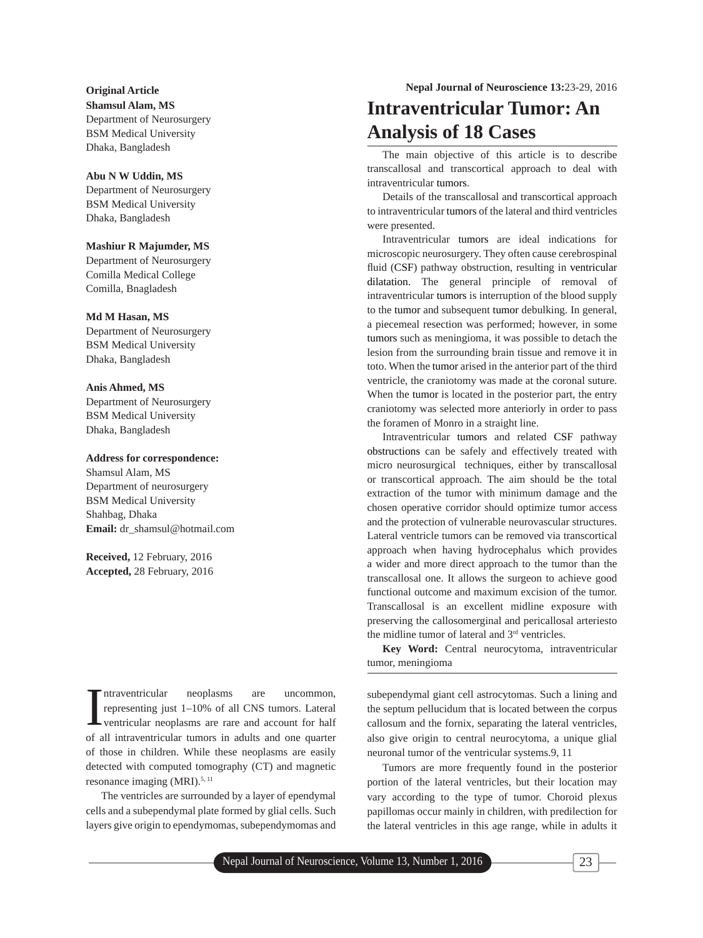**Shamsul Alam, MS** Department of Neurosurgery BSM Medical University Dhaka, Bangladesh

# **Abu N W Uddin, MS**

Department of Neurosurgery BSM Medical University Dhaka, Bangladesh

**Mashiur R Majumder, MS**

Department of Neurosurgery Comilla Medical College Comilla, Bnagladesh

#### **Md M Hasan, MS**

Department of Neurosurgery BSM Medical University Dhaka, Bangladesh

**Anis Ahmed, MS**

Department of Neurosurgery BSM Medical University Dhaka, Bangladesh

#### **Address for correspondence:**

Shamsul Alam, MS Department of neurosurgery BSM Medical University Shahbag, Dhaka **Email:** dr\_shamsul@hotmail.com

**Received,** 12 February, 2016 **Accepted,** 28 February, 2016

I ntraventricular neoplasms are uncommon, representing just 1–10% of all CNS tumors. Lateral ventricular neoplasms are rare and account for half of all intraventricular tumors in adults and one quarter of those in children. While these neoplasms are easily detected with computed tomography (CT) and magnetic resonance imaging (MRI).<sup>5, 11</sup>

The ventricles are surrounded by a layer of ependymal cells and a subependymal plate formed by glial cells. Such layers give origin to ependymomas, subependymomas and

# **Intraventricular Tumor: An Analysis of 18 Cases**

The main objective of this article is to describe transcallosal and transcortical approach to deal with intraventricular tumors.

Details of the transcallosal and transcortical approach to intraventricular tumors of the lateral and third ventricles were presented.

Intraventricular tumors are ideal indications for microscopic neurosurgery. They often cause cerebrospinal fluid (CSF) pathway obstruction, resulting in ventricular dilatation. The general principle of removal of intraventricular tumors is interruption of the blood supply to the tumor and subsequent tumor debulking. In general, a piecemeal resection was performed; however, in some tumors such as meningioma, it was possible to detach the lesion from the surrounding brain tissue and remove it in toto. When the tumor arised in the anterior part of the third ventricle, the craniotomy was made at the coronal suture. When the tumor is located in the posterior part, the entry craniotomy was selected more anteriorly in order to pass the foramen of Monro in a straight line.

Intraventricular tumors and related CSF pathway obstructions can be safely and effectively treated with micro neurosurgical techniques, either by transcallosal or transcortical approach. The aim should be the total extraction of the tumor with minimum damage and the chosen operative corridor should optimize tumor access and the protection of vulnerable neurovascular structures. Lateral ventricle tumors can be removed via transcortical approach when having hydrocephalus which provides a wider and more direct approach to the tumor than the transcallosal one. It allows the surgeon to achieve good functional outcome and maximum excision of the tumor. Transcallosal is an excellent midline exposure with preserving the callosomerginal and pericallosal arteriesto the midline tumor of lateral and  $3<sup>rd</sup>$  ventricles.

**Key Word:** Central neurocytoma, intraventricular tumor, meningioma

subependymal giant cell astrocytomas. Such a lining and the septum pellucidum that is located between the corpus callosum and the fornix, separating the lateral ventricles, also give origin to central neurocytoma, a unique glial neuronal tumor of the ventricular systems.9, 11

Tumors are more frequently found in the posterior portion of the lateral ventricles, but their location may vary according to the type of tumor. Choroid plexus papillomas occur mainly in children, with predilection for the lateral ventricles in this age range, while in adults it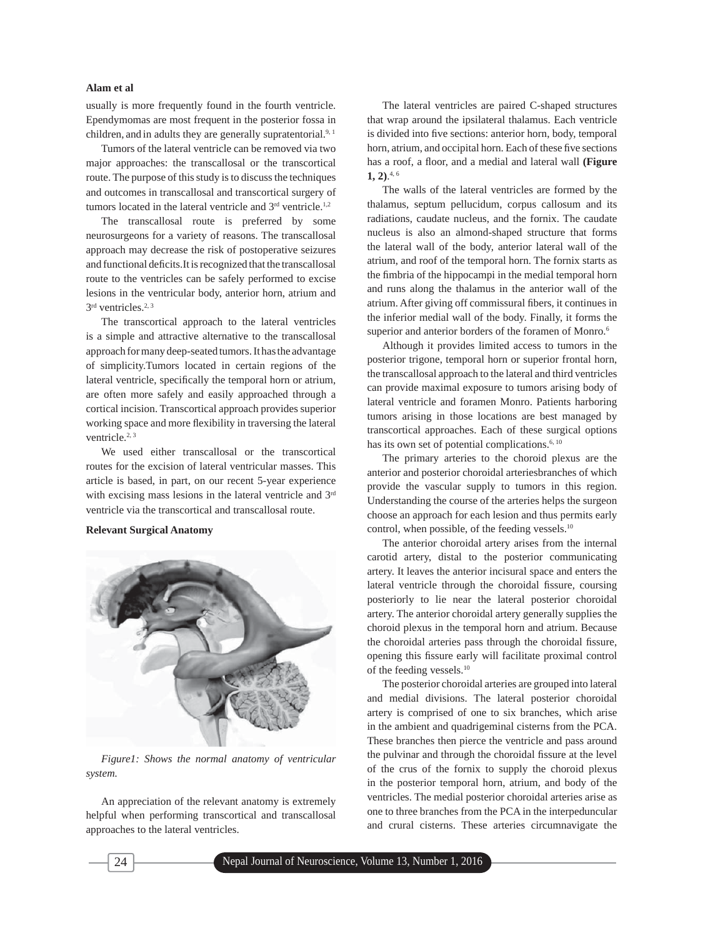# **Alam et al**

usually is more frequently found in the fourth ventricle. Ependymomas are most frequent in the posterior fossa in children, and in adults they are generally supratentorial. $9,1$ 

Tumors of the lateral ventricle can be removed via two major approaches: the transcallosal or the transcortical route. The purpose of this study is to discuss the techniques and outcomes in transcallosal and transcortical surgery of tumors located in the lateral ventricle and 3<sup>rd</sup> ventricle.<sup>1,2</sup>

The transcallosal route is preferred by some neurosurgeons for a variety of reasons. The transcallosal approach may decrease the risk of postoperative seizures and functional deficits.It is recognized that the transcallosal route to the ventricles can be safely performed to excise lesions in the ventricular body, anterior horn, atrium and 3<sup>rd</sup> ventricles.<sup>2, 3</sup>

The transcortical approach to the lateral ventricles is a simple and attractive alternative to the transcallosal approach for many deep-seated tumors. It has the advantage of simplicity.Tumors located in certain regions of the lateral ventricle, specifically the temporal horn or atrium, are often more safely and easily approached through a cortical incision. Transcortical approach provides superior working space and more flexibility in traversing the lateral ventricle.<sup>2, 3</sup>

We used either transcallosal or the transcortical routes for the excision of lateral ventricular masses. This article is based, in part, on our recent 5-year experience with excising mass lesions in the lateral ventricle and 3<sup>rd</sup> ventricle via the transcortical and transcallosal route.

#### **Relevant Surgical Anatomy**



*Figure1: Shows the normal anatomy of ventricular system.*

An appreciation of the relevant anatomy is extremely helpful when performing transcortical and transcallosal approaches to the lateral ventricles.

The lateral ventricles are paired C-shaped structures that wrap around the ipsilateral thalamus. Each ventricle is divided into five sections: anterior horn, body, temporal horn, atrium, and occipital horn. Each of these five sections has a roof, a floor, and a medial and lateral wall (Figure **1, 2)**. 4, 6

The walls of the lateral ventricles are formed by the thalamus, septum pellucidum, corpus callosum and its radiations, caudate nucleus, and the fornix. The caudate nucleus is also an almond-shaped structure that forms the lateral wall of the body, anterior lateral wall of the atrium, and roof of the temporal horn. The fornix starts as the fimbria of the hippocampi in the medial temporal horn and runs along the thalamus in the anterior wall of the atrium. After giving off commissural fibers, it continues in the inferior medial wall of the body. Finally, it forms the superior and anterior borders of the foramen of Monro.<sup>6</sup>

Although it provides limited access to tumors in the posterior trigone, temporal horn or superior frontal horn, the transcallosal approach to the lateral and third ventricles can provide maximal exposure to tumors arising body of lateral ventricle and foramen Monro. Patients harboring tumors arising in those locations are best managed by transcortical approaches. Each of these surgical options has its own set of potential complications. $6, 10$ 

The primary arteries to the choroid plexus are the anterior and posterior choroidal arteriesbranches of which provide the vascular supply to tumors in this region. Understanding the course of the arteries helps the surgeon choose an approach for each lesion and thus permits early control, when possible, of the feeding vessels.<sup>10</sup>

The anterior choroidal artery arises from the internal carotid artery, distal to the posterior communicating artery. It leaves the anterior incisural space and enters the lateral ventricle through the choroidal fissure, coursing posteriorly to lie near the lateral posterior choroidal artery. The anterior choroidal artery generally supplies the choroid plexus in the temporal horn and atrium. Because the choroidal arteries pass through the choroidal fissure, opening this fissure early will facilitate proximal control of the feeding vessels.10

The posterior choroidal arteries are grouped into lateral and medial divisions. The lateral posterior choroidal artery is comprised of one to six branches, which arise in the ambient and quadrigeminal cisterns from the PCA. These branches then pierce the ventricle and pass around the pulvinar and through the choroidal fissure at the level of the crus of the fornix to supply the choroid plexus in the posterior temporal horn, atrium, and body of the ventricles. The medial posterior choroidal arteries arise as one to three branches from the PCA in the interpeduncular and crural cisterns. These arteries circumnavigate the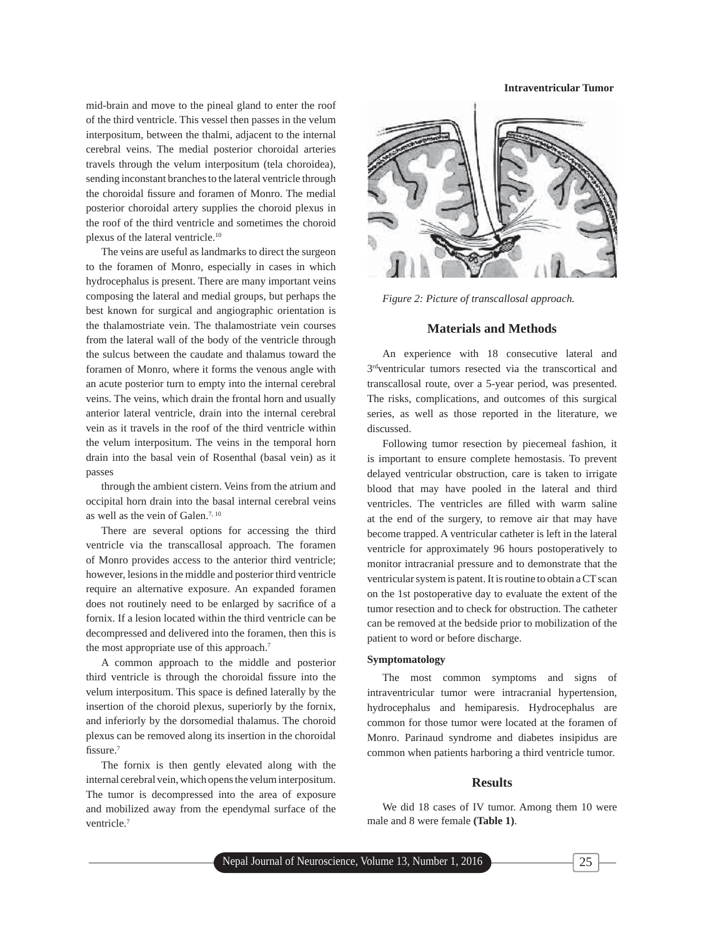## **Intraventricular Tumor**

mid-brain and move to the pineal gland to enter the roof of the third ventricle. This vessel then passes in the velum interpositum, between the thalmi, adjacent to the internal cerebral veins. The medial posterior choroidal arteries travels through the velum interpositum (tela choroidea), sending inconstant branches to the lateral ventricle through the choroidal fissure and foramen of Monro. The medial posterior choroidal artery supplies the choroid plexus in the roof of the third ventricle and sometimes the choroid plexus of the lateral ventricle.10

The veins are useful as landmarks to direct the surgeon to the foramen of Monro, especially in cases in which hydrocephalus is present. There are many important veins composing the lateral and medial groups, but perhaps the best known for surgical and angiographic orientation is the thalamostriate vein. The thalamostriate vein courses from the lateral wall of the body of the ventricle through the sulcus between the caudate and thalamus toward the foramen of Monro, where it forms the venous angle with an acute posterior turn to empty into the internal cerebral veins. The veins, which drain the frontal horn and usually anterior lateral ventricle, drain into the internal cerebral vein as it travels in the roof of the third ventricle within the velum interpositum. The veins in the temporal horn drain into the basal vein of Rosenthal (basal vein) as it passes

through the ambient cistern. Veins from the atrium and occipital horn drain into the basal internal cerebral veins as well as the vein of Galen.7, 10

There are several options for accessing the third ventricle via the transcallosal approach. The foramen of Monro provides access to the anterior third ventricle; however, lesions in the middle and posterior third ventricle require an alternative exposure. An expanded foramen does not routinely need to be enlarged by sacrifice of a fornix. If a lesion located within the third ventricle can be decompressed and delivered into the foramen, then this is the most appropriate use of this approach.7

A common approach to the middle and posterior third ventricle is through the choroidal fissure into the velum interpositum. This space is defined laterally by the insertion of the choroid plexus, superiorly by the fornix, and inferiorly by the dorsomedial thalamus. The choroid plexus can be removed along its insertion in the choroidal fissure.<sup>7</sup>

The fornix is then gently elevated along with the internal cerebral vein, which opens the velum interpositum. The tumor is decompressed into the area of exposure and mobilized away from the ependymal surface of the ventricle.<sup>7</sup>



*Figure 2: Picture of transcallosal approach.*

# **Materials and Methods**

An experience with 18 consecutive lateral and 3<sup>rd</sup>ventricular tumors resected via the transcortical and transcallosal route, over a 5-year period, was presented. The risks, complications, and outcomes of this surgical series, as well as those reported in the literature, we discussed.

Following tumor resection by piecemeal fashion, it is important to ensure complete hemostasis. To prevent delayed ventricular obstruction, care is taken to irrigate blood that may have pooled in the lateral and third ventricles. The ventricles are filled with warm saline at the end of the surgery, to remove air that may have become trapped. A ventricular catheter is left in the lateral ventricle for approximately 96 hours postoperatively to monitor intracranial pressure and to demonstrate that the ventricular system is patent. It is routine to obtain a CT scan on the 1st postoperative day to evaluate the extent of the tumor resection and to check for obstruction. The catheter can be removed at the bedside prior to mobilization of the patient to word or before discharge.

#### **Symptomatology**

The most common symptoms and signs of intraventricular tumor were intracranial hypertension, hydrocephalus and hemiparesis. Hydrocephalus are common for those tumor were located at the foramen of Monro. Parinaud syndrome and diabetes insipidus are common when patients harboring a third ventricle tumor.

### **Results**

We did 18 cases of IV tumor. Among them 10 were male and 8 were female **(Table 1)**.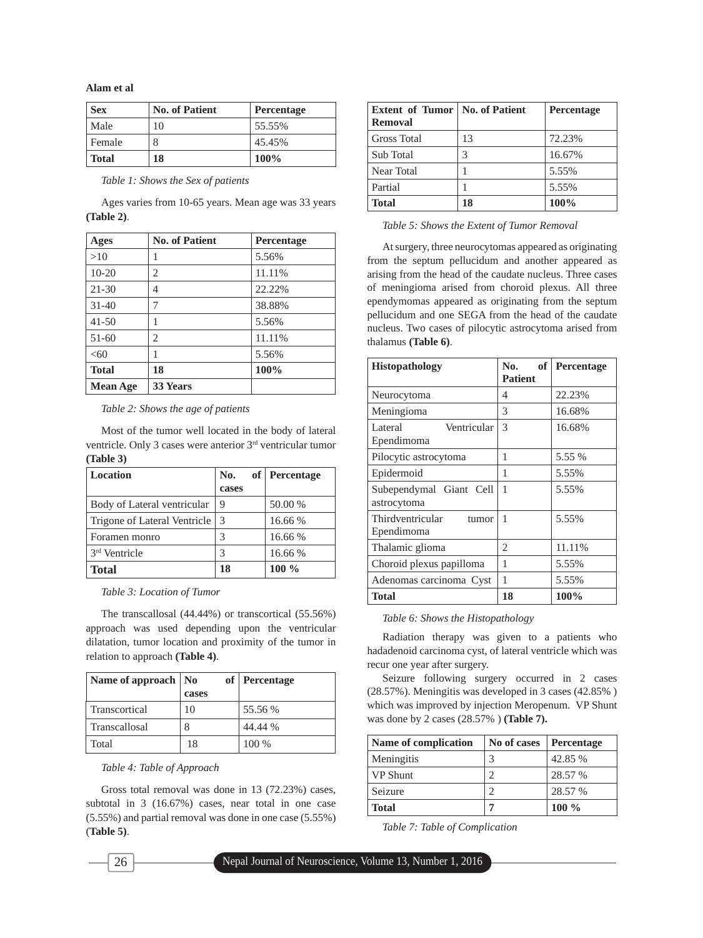### **Alam et al**

| <b>Sex</b>   | <b>No. of Patient</b> | <b>Percentage</b> |
|--------------|-----------------------|-------------------|
| Male         | 10                    | 55.55%            |
| Female       |                       | 45.45%            |
| <b>Total</b> | 18                    | 100%              |

#### *Table 1: Shows the Sex of patients*

Ages varies from 10-65 years. Mean age was 33 years **(Table 2)**.

| Ages            | <b>No. of Patient</b> | Percentage |
|-----------------|-----------------------|------------|
| >10             |                       | 5.56%      |
| $10 - 20$       | 2                     | 11.11%     |
| $21 - 30$       | 4                     | 22.22%     |
| $31 - 40$       | 7                     | 38.88%     |
| $41 - 50$       |                       | 5.56%      |
| 51-60           | 2                     | 11.11%     |
| <60             |                       | 5.56%      |
| <b>Total</b>    | 18                    | 100%       |
| <b>Mean Age</b> | 33 Years              |            |

*Table 2: Shows the age of patients*

Most of the tumor well located in the body of lateral ventricle. Only 3 cases were anterior 3rd ventricular tumor **(Table 3)**

| <b>Location</b>                  | No.   | of Percentage |
|----------------------------------|-------|---------------|
|                                  | cases |               |
| Body of Lateral ventricular      | 9     | 50.00 %       |
| Trigone of Lateral Ventricle   3 |       | 16.66 %       |
| Foramen monro                    | 3     | 16.66 %       |
| 3rd Ventricle                    |       | 16.66 %       |
| <b>Total</b>                     | 18    | $100\%$       |

*Table 3: Location of Tumor*

The transcallosal (44.44%) or transcortical (55.56%) approach was used depending upon the ventricular dilatation, tumor location and proximity of the tumor in relation to approach **(Table 4)**.

| Name of approach   No |       | of Percentage |
|-----------------------|-------|---------------|
|                       | cases |               |
| Transcortical         | 10    | 55.56 %       |
| Transcallosal         | 8     | 44.44 %       |
| Total                 | 18    | $100\%$       |

# *Table 4: Table of Approach*

Gross total removal was done in 13 (72.23%) cases, subtotal in 3 (16.67%) cases, near total in one case (5.55%) and partial removal was done in one case (5.55%) (**Table 5)**.

| Extent of Tumor   No. of Patient<br><b>Removal</b> |    | Percentage |
|----------------------------------------------------|----|------------|
| <b>Gross Total</b>                                 | 13 | 72.23%     |
| Sub Total                                          |    | 16.67%     |
| Near Total                                         |    | 5.55%      |
| Partial                                            |    | 5.55%      |
| <b>Total</b>                                       | 18 | 100%       |

#### *Table 5: Shows the Extent of Tumor Removal*

At surgery, three neurocytomas appeared as originating from the septum pellucidum and another appeared as arising from the head of the caudate nucleus. Three cases of meningioma arised from choroid plexus. All three ependymomas appeared as originating from the septum pellucidum and one SEGA from the head of the caudate nucleus. Two cases of pilocytic astrocytoma arised from thalamus **(Table 6)**.

| <b>Histopathology</b>                   | No.<br><b>Patient</b> | of Percentage |
|-----------------------------------------|-----------------------|---------------|
| Neurocytoma                             | 4                     | 22.23%        |
| Meningioma                              | 3                     | 16.68%        |
| Lateral<br>Ventricular<br>Ependimoma    | 3                     | 16.68%        |
| Pilocytic astrocytoma                   | 1                     | 5.55 %        |
| Epidermoid                              | 1                     | 5.55%         |
| Subependymal Giant Cell<br>astrocytoma  | 1                     | 5.55%         |
| Thirdventricular<br>tumor<br>Ependimoma | 1                     | 5.55%         |
| Thalamic glioma                         | $\overline{c}$        | 11.11%        |
| Choroid plexus papilloma                | 1                     | 5.55%         |
| Adenomas carcinoma Cyst                 | 1                     | 5.55%         |
| Total                                   | 18                    | 100%          |

#### *Table 6: Shows the Histopathology*

Radiation therapy was given to a patients who hadadenoid carcinoma cyst, of lateral ventricle which was recur one year after surgery.

Seizure following surgery occurred in 2 cases (28.57%). Meningitis was developed in 3 cases (42.85% ) which was improved by injection Meropenum. VP Shunt was done by 2 cases (28.57% ) **(Table 7).**

| Name of complication | No of cases | <b>Percentage</b> |
|----------------------|-------------|-------------------|
| Meningitis           |             | 42.85 %           |
| <b>VP Shunt</b>      |             | 28.57 %           |
| Seizure              |             | 28.57 %           |
| <b>Total</b>         |             | $100\%$           |

*Table 7: Table of Complication*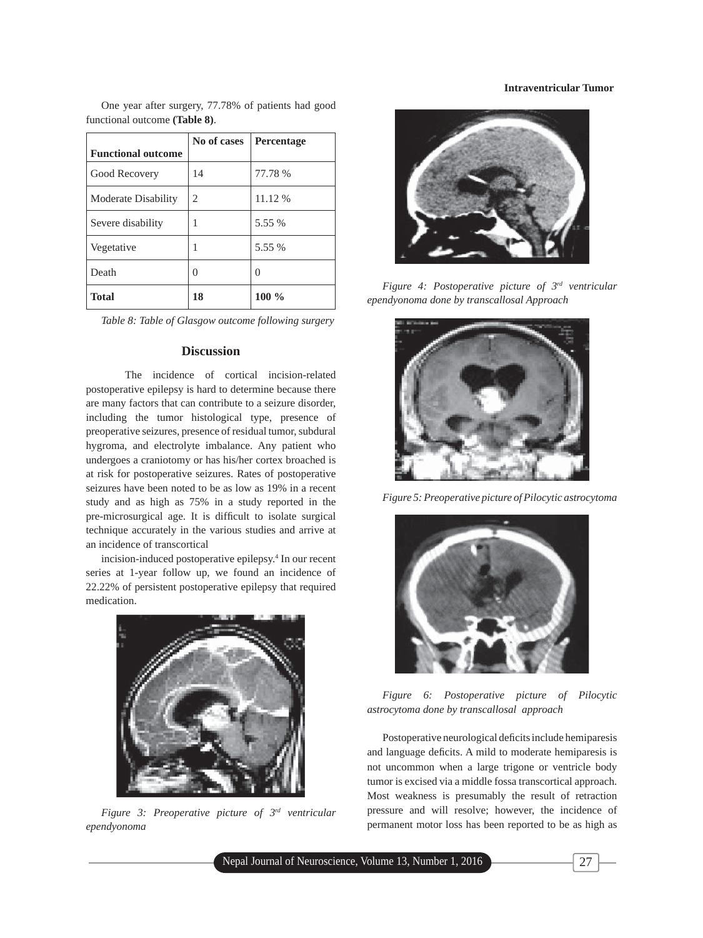#### **Intraventricular Tumor**

| <b>Functional outcome</b> | No of cases    | Percentage    |
|---------------------------|----------------|---------------|
| Good Recovery             | 14             | 77.78 %       |
| Moderate Disability       | $\overline{2}$ | 11.12 %       |
| Severe disability         | 1              | 5.55 %        |
| Vegetative                | 1              | 5.55 %        |
| Death                     | 0              | $\mathcal{L}$ |
| <b>Total</b>              | 18             | 100 %         |

One year after surgery, 77.78% of patients had good functional outcome **(Table 8)**.

*Table 8: Table of Glasgow outcome following surgery* 

# **Discussion**

 The incidence of cortical incision-related postoperative epilepsy is hard to determine because there are many factors that can contribute to a seizure disorder, including the tumor histological type, presence of preoperative seizures, presence of residual tumor, subdural hygroma, and electrolyte imbalance. Any patient who undergoes a craniotomy or has his/her cortex broached is at risk for postoperative seizures. Rates of postoperative seizures have been noted to be as low as 19% in a recent study and as high as 75% in a study reported in the pre-microsurgical age. It is difficult to isolate surgical technique accurately in the various studies and arrive at an incidence of transcortical

incision-induced postoperative epilepsy.4 In our recent series at 1-year follow up, we found an incidence of 22.22% of persistent postoperative epilepsy that required medication.



*Figure 3: Preoperative picture of 3rd ventricular ependyonoma*



*Figure 4: Postoperative picture of 3rd ventricular ependyonoma done by transcallosal Approach*



*Figure 5: Preoperative picture of Pilocytic astrocytoma*



*Figure 6: Postoperative picture of Pilocytic astrocytoma done by transcallosal approach*

Postoperative neurological deficits include hemiparesis and language deficits. A mild to moderate hemiparesis is not uncommon when a large trigone or ventricle body tumor is excised via a middle fossa transcortical approach. Most weakness is presumably the result of retraction pressure and will resolve; however, the incidence of permanent motor loss has been reported to be as high as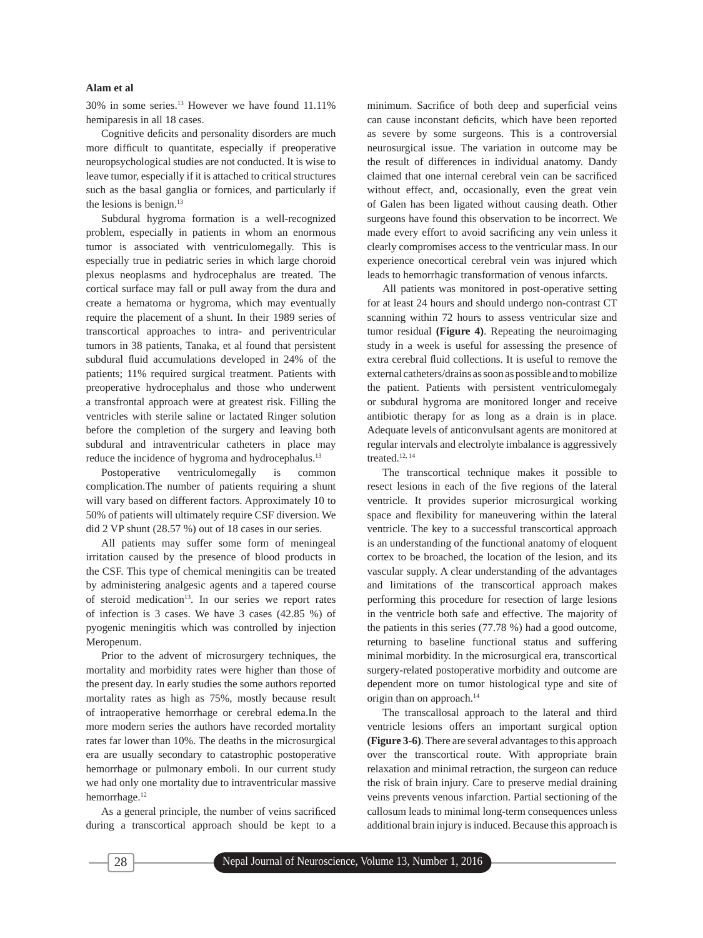# **Alam et al**

 $30\%$  in some series.<sup>13</sup> However we have found 11.11% hemiparesis in all 18 cases.

Cognitive deficits and personality disorders are much more difficult to quantitate, especially if preoperative neuropsychological studies are not conducted. It is wise to leave tumor, especially if it is attached to critical structures such as the basal ganglia or fornices, and particularly if the lesions is benign.<sup>13</sup>

Subdural hygroma formation is a well-recognized problem, especially in patients in whom an enormous tumor is associated with ventriculomegally. This is especially true in pediatric series in which large choroid plexus neoplasms and hydrocephalus are treated. The cortical surface may fall or pull away from the dura and create a hematoma or hygroma, which may eventually require the placement of a shunt. In their 1989 series of transcortical approaches to intra- and periventricular tumors in 38 patients, Tanaka, et al found that persistent subdural fluid accumulations developed in 24% of the patients; 11% required surgical treatment. Patients with preoperative hydrocephalus and those who underwent a transfrontal approach were at greatest risk. Filling the ventricles with sterile saline or lactated Ringer solution before the completion of the surgery and leaving both subdural and intraventricular catheters in place may reduce the incidence of hygroma and hydrocephalus.<sup>13</sup>

Postoperative ventriculomegally is common complication.The number of patients requiring a shunt will vary based on different factors. Approximately 10 to 50% of patients will ultimately require CSF diversion. We did 2 VP shunt (28.57 %) out of 18 cases in our series.

All patients may suffer some form of meningeal irritation caused by the presence of blood products in the CSF. This type of chemical meningitis can be treated by administering analgesic agents and a tapered course of steroid medication<sup>13</sup>. In our series we report rates of infection is 3 cases. We have 3 cases (42.85 %) of pyogenic meningitis which was controlled by injection Meropenum.

Prior to the advent of microsurgery techniques, the mortality and morbidity rates were higher than those of the present day. In early studies the some authors reported mortality rates as high as 75%, mostly because result of intraoperative hemorrhage or cerebral edema.In the more modern series the authors have recorded mortality rates far lower than 10%. The deaths in the microsurgical era are usually secondary to catastrophic postoperative hemorrhage or pulmonary emboli. In our current study we had only one mortality due to intraventricular massive hemorrhage.<sup>12</sup>

As a general principle, the number of veins sacrificed during a transcortical approach should be kept to a

minimum. Sacrifice of both deep and superficial veins can cause inconstant deficits, which have been reported as severe by some surgeons. This is a controversial neurosurgical issue. The variation in outcome may be the result of differences in individual anatomy. Dandy claimed that one internal cerebral vein can be sacrificed without effect, and, occasionally, even the great vein of Galen has been ligated without causing death. Other surgeons have found this observation to be incorrect. We made every effort to avoid sacrificing any vein unless it clearly compromises access to the ventricular mass. In our experience onecortical cerebral vein was injured which leads to hemorrhagic transformation of venous infarcts.

All patients was monitored in post-operative setting for at least 24 hours and should undergo non-contrast CT scanning within 72 hours to assess ventricular size and tumor residual **(Figure 4)**. Repeating the neuroimaging study in a week is useful for assessing the presence of extra cerebral fluid collections. It is useful to remove the external catheters/drains as soon as possible and to mobilize the patient. Patients with persistent ventriculomegaly or subdural hygroma are monitored longer and receive antibiotic therapy for as long as a drain is in place. Adequate levels of anticonvulsant agents are monitored at regular intervals and electrolyte imbalance is aggressively treated.<sup>12, 14</sup>

The transcortical technique makes it possible to resect lesions in each of the five regions of the lateral ventricle. It provides superior microsurgical working space and flexibility for maneuvering within the lateral ventricle. The key to a successful transcortical approach is an understanding of the functional anatomy of eloquent cortex to be broached, the location of the lesion, and its vascular supply. A clear understanding of the advantages and limitations of the transcortical approach makes performing this procedure for resection of large lesions in the ventricle both safe and effective. The majority of the patients in this series (77.78 %) had a good outcome, returning to baseline functional status and suffering minimal morbidity. In the microsurgical era, transcortical surgery-related postoperative morbidity and outcome are dependent more on tumor histological type and site of origin than on approach.<sup>14</sup>

The transcallosal approach to the lateral and third ventricle lesions offers an important surgical option **(Figure 3-6)**. There are several advantages to this approach over the transcortical route. With appropriate brain relaxation and minimal retraction, the surgeon can reduce the risk of brain injury. Care to preserve medial draining veins prevents venous infarction. Partial sectioning of the callosum leads to minimal long-term consequences unless additional brain injury is induced. Because this approach is